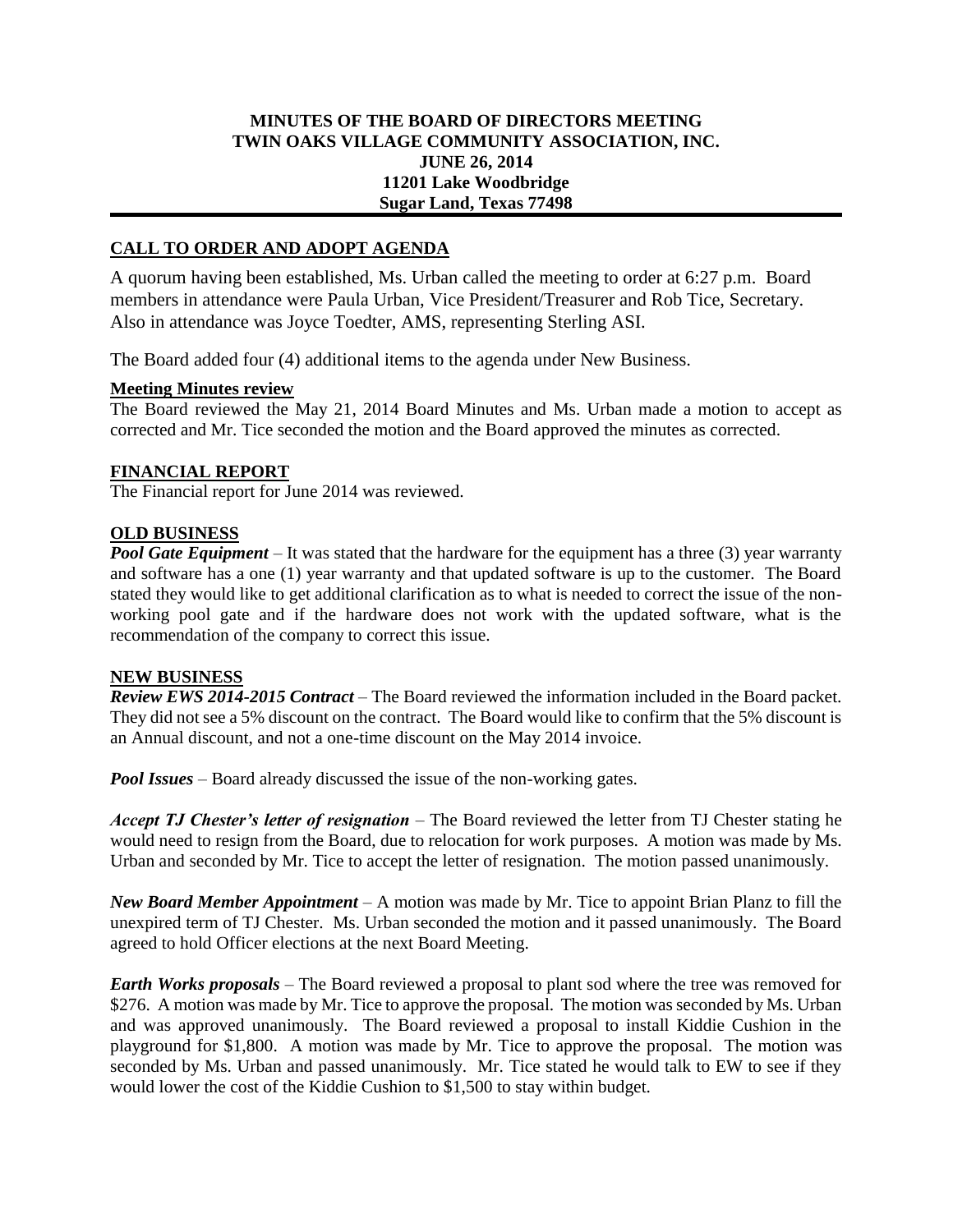## **MINUTES OF THE BOARD OF DIRECTORS MEETING TWIN OAKS VILLAGE COMMUNITY ASSOCIATION, INC. JUNE 26, 2014 11201 Lake Woodbridge Sugar Land, Texas 77498**

# **CALL TO ORDER AND ADOPT AGENDA**

A quorum having been established, Ms. Urban called the meeting to order at 6:27 p.m. Board members in attendance were Paula Urban, Vice President/Treasurer and Rob Tice, Secretary. Also in attendance was Joyce Toedter, AMS, representing Sterling ASI.

The Board added four (4) additional items to the agenda under New Business.

#### **Meeting Minutes review**

The Board reviewed the May 21, 2014 Board Minutes and Ms. Urban made a motion to accept as corrected and Mr. Tice seconded the motion and the Board approved the minutes as corrected.

## **FINANCIAL REPORT**

The Financial report for June 2014 was reviewed.

## **OLD BUSINESS**

*Pool Gate Equipment* – It was stated that the hardware for the equipment has a three (3) year warranty and software has a one (1) year warranty and that updated software is up to the customer. The Board stated they would like to get additional clarification as to what is needed to correct the issue of the nonworking pool gate and if the hardware does not work with the updated software, what is the recommendation of the company to correct this issue.

#### **NEW BUSINESS**

*Review EWS 2014-2015 Contract* – The Board reviewed the information included in the Board packet. They did not see a 5% discount on the contract. The Board would like to confirm that the 5% discount is an Annual discount, and not a one-time discount on the May 2014 invoice.

*Pool Issues* – Board already discussed the issue of the non-working gates.

*Accept TJ Chester's letter of resignation* – The Board reviewed the letter from TJ Chester stating he would need to resign from the Board, due to relocation for work purposes. A motion was made by Ms. Urban and seconded by Mr. Tice to accept the letter of resignation. The motion passed unanimously.

*New Board Member Appointment* – A motion was made by Mr. Tice to appoint Brian Planz to fill the unexpired term of TJ Chester. Ms. Urban seconded the motion and it passed unanimously. The Board agreed to hold Officer elections at the next Board Meeting.

*Earth Works proposals* – The Board reviewed a proposal to plant sod where the tree was removed for \$276. A motion was made by Mr. Tice to approve the proposal. The motion was seconded by Ms. Urban and was approved unanimously. The Board reviewed a proposal to install Kiddie Cushion in the playground for \$1,800. A motion was made by Mr. Tice to approve the proposal. The motion was seconded by Ms. Urban and passed unanimously. Mr. Tice stated he would talk to EW to see if they would lower the cost of the Kiddie Cushion to \$1,500 to stay within budget.